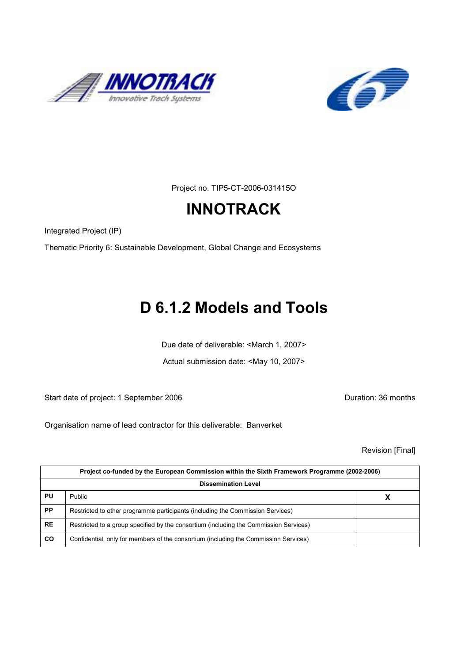



Project no. TIP5-CT-2006-031415O

# **INNOTRACK**

Integrated Project (IP)

Thematic Priority 6: Sustainable Development, Global Change and Ecosystems

# D 6.1.2 Models and Tools

Due date of deliverable: <March 1, 2007>

Actual submission date: <May 10, 2007>

Start date of project: 1 September 2006 **Duration: 36 months** 

Organisation name of lead contractor for this deliverable: Banverket

Revision [Final]

|           | Project co-funded by the European Commission within the Sixth Framework Programme (2002-2006) |   |  |  |  |
|-----------|-----------------------------------------------------------------------------------------------|---|--|--|--|
|           | <b>Dissemination Level</b>                                                                    |   |  |  |  |
| PU        | Public                                                                                        | Х |  |  |  |
| <b>PP</b> | Restricted to other programme participants (including the Commission Services)                |   |  |  |  |
| <b>RE</b> | Restricted to a group specified by the consortium (including the Commission Services)         |   |  |  |  |
| CO        | Confidential, only for members of the consortium (including the Commission Services)          |   |  |  |  |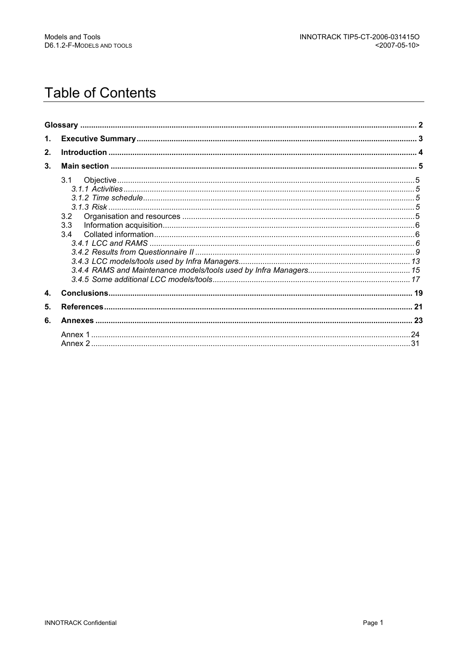# **Table of Contents**

| 1.           |     |  |
|--------------|-----|--|
| 2.           |     |  |
| 3.           |     |  |
|              | 3.1 |  |
|              |     |  |
|              |     |  |
|              |     |  |
|              | 3.2 |  |
|              | 3.3 |  |
|              | 3.4 |  |
|              |     |  |
|              |     |  |
|              |     |  |
|              |     |  |
| $\mathbf{4}$ |     |  |
| 5.           |     |  |
|              |     |  |
| 6.           |     |  |
|              |     |  |
|              |     |  |
|              |     |  |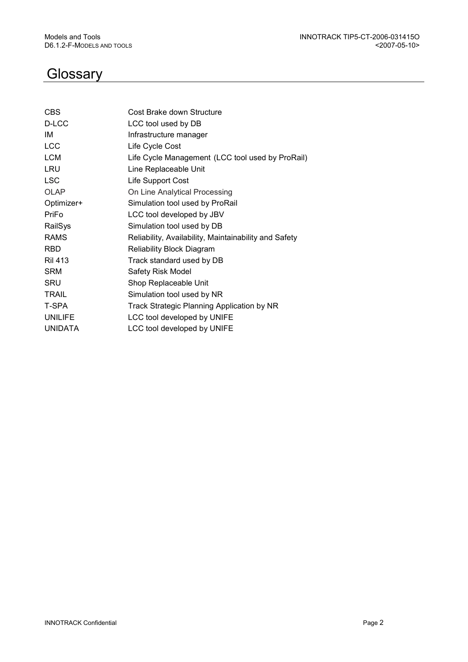# **Glossary**

| <b>CBS</b>     | Cost Brake down Structure                             |
|----------------|-------------------------------------------------------|
| D-LCC          | LCC tool used by DB                                   |
| IM             | Infrastructure manager                                |
| <b>LCC</b>     | Life Cycle Cost                                       |
| <b>LCM</b>     | Life Cycle Management (LCC tool used by ProRail)      |
| LRU            | Line Replaceable Unit                                 |
| <b>LSC</b>     | Life Support Cost                                     |
| <b>OLAP</b>    | On Line Analytical Processing                         |
| Optimizer+     | Simulation tool used by ProRail                       |
| PriFo          | LCC tool developed by JBV                             |
| RailSys        | Simulation tool used by DB                            |
| <b>RAMS</b>    | Reliability, Availability, Maintainability and Safety |
| <b>RBD</b>     | <b>Reliability Block Diagram</b>                      |
| <b>Ril 413</b> | Track standard used by DB                             |
| <b>SRM</b>     | Safety Risk Model                                     |
| <b>SRU</b>     | Shop Replaceable Unit                                 |
| <b>TRAIL</b>   | Simulation tool used by NR                            |
| T-SPA          | Track Strategic Planning Application by NR            |
| <b>UNILIFE</b> | LCC tool developed by UNIFE                           |
| <b>UNIDATA</b> | LCC tool developed by UNIFE                           |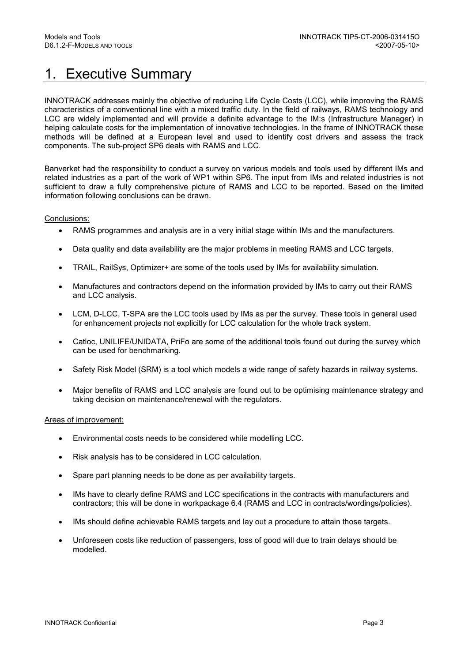# 1. Executive Summary

INNOTRACK addresses mainly the objective of reducing Life Cycle Costs (LCC), while improving the RAMS characteristics of a conventional line with a mixed traffic duty. In the field of railways, RAMS technology and LCC are widely implemented and will provide a definite advantage to the IM:s (Infrastructure Manager) in helping calculate costs for the implementation of innovative technologies. In the frame of INNOTRACK these methods will be defined at a European level and used to identify cost drivers and assess the track components. The sub-project SP6 deals with RAMS and LCC.

Banverket had the responsibility to conduct a survey on various models and tools used by different IMs and related industries as a part of the work of WP1 within SP6. The input from IMs and related industries is not sufficient to draw a fully comprehensive picture of RAMS and LCC to be reported. Based on the limited information following conclusions can be drawn.

#### Conclusions:

- RAMS programmes and analysis are in a very initial stage within IMs and the manufacturers.
- Data quality and data availability are the major problems in meeting RAMS and LCC targets.
- TRAIL, RailSys, Optimizer+ are some of the tools used by IMs for availability simulation.
- Manufactures and contractors depend on the information provided by IMs to carry out their RAMS and LCC analysis.
- LCM, D-LCC, T-SPA are the LCC tools used by IMs as per the survey. These tools in general used for enhancement projects not explicitly for LCC calculation for the whole track system.
- Catloc, UNILIFE/UNIDATA, PriFo are some of the additional tools found out during the survey which can be used for benchmarking.
- Safety Risk Model (SRM) is a tool which models a wide range of safety hazards in railway systems.
- Major benefits of RAMS and LCC analysis are found out to be optimising maintenance strategy and taking decision on maintenance/renewal with the regulators.

#### Areas of improvement:

- Environmental costs needs to be considered while modelling LCC.
- Risk analysis has to be considered in LCC calculation.
- Spare part planning needs to be done as per availability targets.
- IMs have to clearly define RAMS and LCC specifications in the contracts with manufacturers and contractors; this will be done in workpackage 6.4 (RAMS and LCC in contracts/wordings/policies).
- IMs should define achievable RAMS targets and lay out a procedure to attain those targets.
- Unforeseen costs like reduction of passengers, loss of good will due to train delays should be modelled.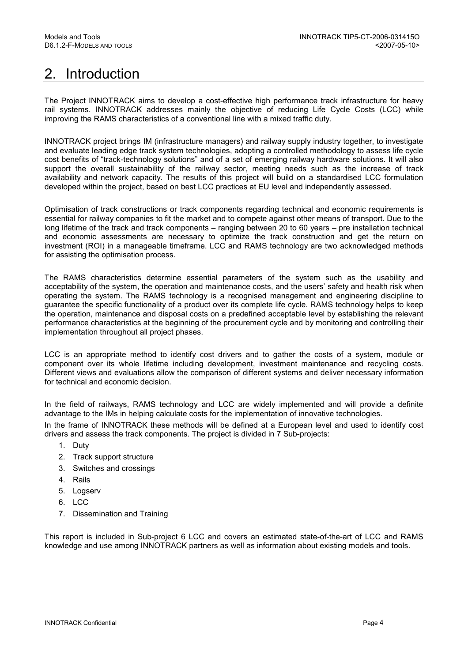# 2. Introduction

The Project INNOTRACK aims to develop a cost-effective high performance track infrastructure for heavy rail systems. INNOTRACK addresses mainly the objective of reducing Life Cycle Costs (LCC) while improving the RAMS characteristics of a conventional line with a mixed traffic duty.

INNOTRACK project brings IM (infrastructure managers) and railway supply industry together, to investigate and evaluate leading edge track system technologies, adopting a controlled methodology to assess life cycle cost benefits of "track-technology solutions" and of a set of emerging railway hardware solutions. It will also support the overall sustainability of the railway sector, meeting needs such as the increase of track availability and network capacity. The results of this project will build on a standardised LCC formulation developed within the project, based on best LCC practices at EU level and independently assessed.

Optimisation of track constructions or track components regarding technical and economic requirements is essential for railway companies to fit the market and to compete against other means of transport. Due to the long lifetime of the track and track components – ranging between 20 to 60 years – pre installation technical and economic assessments are necessary to optimize the track construction and get the return on investment (ROI) in a manageable timeframe. LCC and RAMS technology are two acknowledged methods for assisting the optimisation process.

The RAMS characteristics determine essential parameters of the system such as the usability and acceptability of the system, the operation and maintenance costs, and the users' safety and health risk when operating the system. The RAMS technology is a recognised management and engineering discipline to guarantee the specific functionality of a product over its complete life cycle. RAMS technology helps to keep the operation, maintenance and disposal costs on a predefined acceptable level by establishing the relevant performance characteristics at the beginning of the procurement cycle and by monitoring and controlling their implementation throughout all project phases.

LCC is an appropriate method to identify cost drivers and to gather the costs of a system, module or component over its whole lifetime including development, investment maintenance and recycling costs. Different views and evaluations allow the comparison of different systems and deliver necessary information for technical and economic decision.

In the field of railways, RAMS technology and LCC are widely implemented and will provide a definite advantage to the IMs in helping calculate costs for the implementation of innovative technologies.

In the frame of INNOTRACK these methods will be defined at a European level and used to identify cost drivers and assess the track components. The project is divided in 7 Sub-projects:

- 1. Duty
- 2. Track support structure
- 3. Switches and crossings
- 4. Rails
- 5. Logserv
- 6. LCC
- 7. Dissemination and Training

This report is included in Sub-project 6 LCC and covers an estimated state-of-the-art of LCC and RAMS knowledge and use among INNOTRACK partners as well as information about existing models and tools.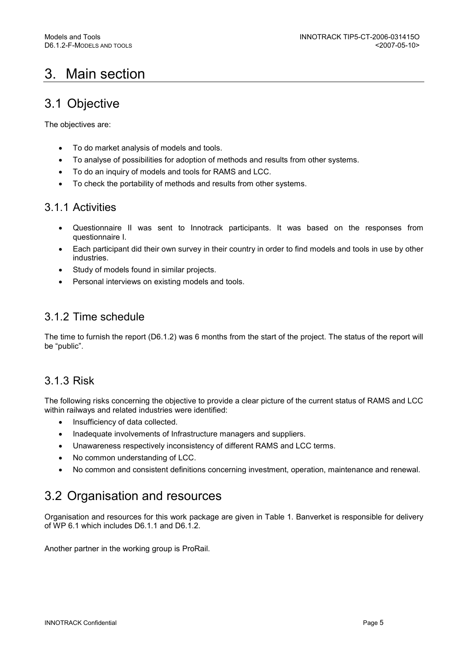# 3. Main section

## 3.1 Objective

The objectives are:

- To do market analysis of models and tools.
- To analyse of possibilities for adoption of methods and results from other systems.
- To do an inquiry of models and tools for RAMS and LCC.
- To check the portability of methods and results from other systems.

## 3.1.1 Activities

- Questionnaire II was sent to Innotrack participants. It was based on the responses from questionnaire I.
- Each participant did their own survey in their country in order to find models and tools in use by other industries.
- Study of models found in similar projects.
- Personal interviews on existing models and tools.

## 3.1.2 Time schedule

The time to furnish the report (D6.1.2) was 6 months from the start of the project. The status of the report will be "public".

## 3.1.3 Risk

The following risks concerning the objective to provide a clear picture of the current status of RAMS and LCC within railways and related industries were identified:

- Insufficiency of data collected.
- Inadequate involvements of Infrastructure managers and suppliers.
- Unawareness respectively inconsistency of different RAMS and LCC terms.
- No common understanding of LCC.
- No common and consistent definitions concerning investment, operation, maintenance and renewal.

## 3.2 Organisation and resources

Organisation and resources for this work package are given in Table 1. Banverket is responsible for delivery of WP 6.1 which includes D6.1.1 and D6.1.2.

Another partner in the working group is ProRail.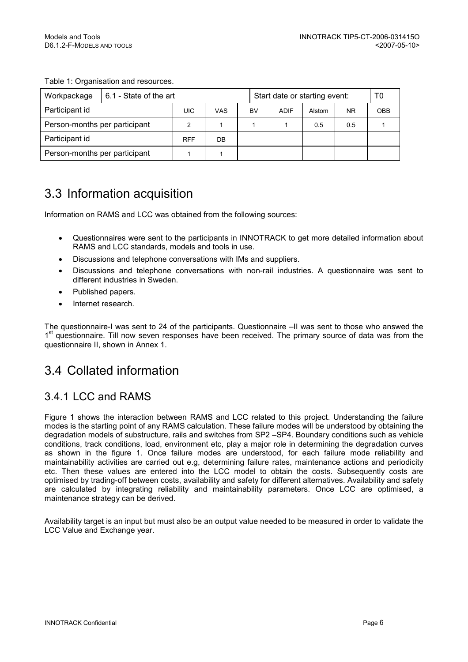#### Table 1: Organisation and resources.

| Workpackage                   | 6.1 - State of the art |            |     |    |             | Start date or starting event: |           | T0         |
|-------------------------------|------------------------|------------|-----|----|-------------|-------------------------------|-----------|------------|
| Participant id                |                        | UIC        | VAS | BV | <b>ADIF</b> | Alstom                        | <b>NR</b> | <b>OBB</b> |
| Person-months per participant |                        | 2          |     |    |             | 0.5                           | 0.5       |            |
| Participant id                |                        | <b>RFF</b> | DB  |    |             |                               |           |            |
| Person-months per participant |                        |            |     |    |             |                               |           |            |

# 3.3 Information acquisition

Information on RAMS and LCC was obtained from the following sources:

- Questionnaires were sent to the participants in INNOTRACK to get more detailed information about RAMS and LCC standards, models and tools in use.
- Discussions and telephone conversations with IMs and suppliers.
- Discussions and telephone conversations with non-rail industries. A questionnaire was sent to different industries in Sweden.
- Published papers.
- Internet research.

The questionnaire-I was sent to 24 of the participants. Questionnaire –II was sent to those who answed the 1<sup>st</sup> questionnaire. Till now seven responses have been received. The primary source of data was from the questionnaire II, shown in Annex 1.

## 3.4 Collated information

## 3.4.1 LCC and RAMS

Figure 1 shows the interaction between RAMS and LCC related to this project. Understanding the failure modes is the starting point of any RAMS calculation. These failure modes will be understood by obtaining the degradation models of substructure, rails and switches from SP2 –SP4. Boundary conditions such as vehicle conditions, track conditions, load, environment etc, play a major role in determining the degradation curves as shown in the figure 1. Once failure modes are understood, for each failure mode reliability and maintainability activities are carried out e.g, determining failure rates, maintenance actions and periodicity etc. Then these values are entered into the LCC model to obtain the costs. Subsequently costs are optimised by trading-off between costs, availability and safety for different alternatives. Availability and safety are calculated by integrating reliability and maintainability parameters. Once LCC are optimised, a maintenance strategy can be derived.

Availability target is an input but must also be an output value needed to be measured in order to validate the LCC Value and Exchange year.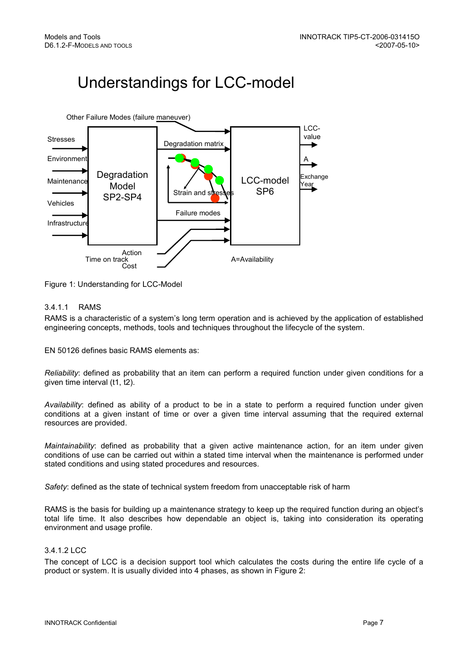# Understandings for LCC-model



Figure 1: Understanding for LCC-Model

#### 3.4.1.1 RAMS

RAMS is a characteristic of a system's long term operation and is achieved by the application of established engineering concepts, methods, tools and techniques throughout the lifecycle of the system.

EN 50126 defines basic RAMS elements as:

Reliability: defined as probability that an item can perform a required function under given conditions for a given time interval (t1, t2).

Availability: defined as ability of a product to be in a state to perform a required function under given conditions at a given instant of time or over a given time interval assuming that the required external resources are provided.

Maintainability: defined as probability that a given active maintenance action, for an item under given conditions of use can be carried out within a stated time interval when the maintenance is performed under stated conditions and using stated procedures and resources.

Safety: defined as the state of technical system freedom from unacceptable risk of harm

RAMS is the basis for building up a maintenance strategy to keep up the required function during an object's total life time. It also describes how dependable an object is, taking into consideration its operating environment and usage profile.

#### 3412 LCC

The concept of LCC is a decision support tool which calculates the costs during the entire life cycle of a product or system. It is usually divided into 4 phases, as shown in Figure 2: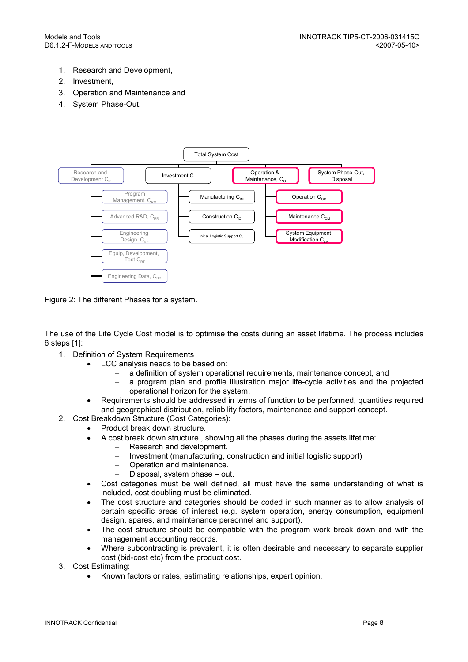- 1. Research and Development,
- 2. Investment,
- 3. Operation and Maintenance and
- 4. System Phase-Out.



Figure 2: The different Phases for a system.

The use of the Life Cycle Cost model is to optimise the costs during an asset lifetime. The process includes 6 steps [1]:

- 1. Definition of System Requirements
	- LCC analysis needs to be based on:
		- a definition of system operational requirements, maintenance concept, and
		- a program plan and profile illustration major life-cycle activities and the projected operational horizon for the system.
		- Requirements should be addressed in terms of function to be performed, quantities required and geographical distribution, reliability factors, maintenance and support concept.
- 2. Cost Breakdown Structure (Cost Categories):
	- Product break down structure.
		- A cost break down structure , showing all the phases during the assets lifetime:
			- Research and development.
			- Investment (manufacturing, construction and initial logistic support)
			- Operation and maintenance.
			- Disposal, system phase out.
	- Cost categories must be well defined, all must have the same understanding of what is included, cost doubling must be eliminated.
	- The cost structure and categories should be coded in such manner as to allow analysis of certain specific areas of interest (e.g. system operation, energy consumption, equipment design, spares, and maintenance personnel and support).
	- The cost structure should be compatible with the program work break down and with the management accounting records.
	- Where subcontracting is prevalent, it is often desirable and necessary to separate supplier cost (bid-cost etc) from the product cost.
- 3. Cost Estimating:
	- Known factors or rates, estimating relationships, expert opinion.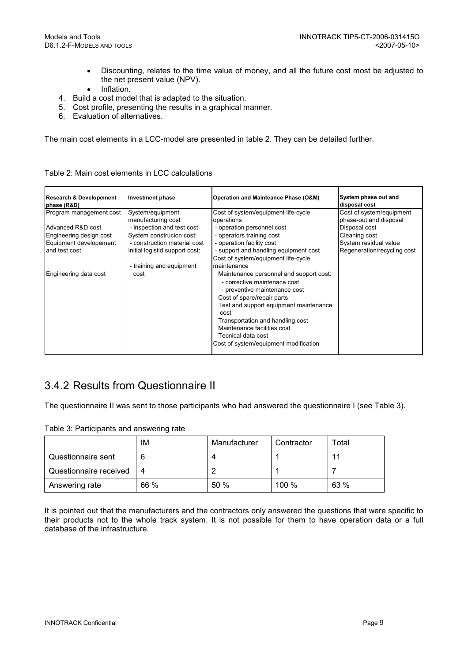- Discounting, relates to the time value of money, and all the future cost most be adjusted to the net present value (NPV).
- Inflation.
- 4. Build a cost model that is adapted to the situation.
- 5. Cost profile, presenting the results in a graphical manner.
- 6. Evaluation of alternatives.

The main cost elements in a LCC-model are presented in table 2. They can be detailed further.

| <b>Research &amp; Developement</b><br>phase (R&D)                                                                  | Investment phase                                                                                                                                                   | Operation and Mainteance Phase (O&M)                                                                                                                                                                                                                                                                                                      | System phase out and<br>disposal cost                                                                                                        |
|--------------------------------------------------------------------------------------------------------------------|--------------------------------------------------------------------------------------------------------------------------------------------------------------------|-------------------------------------------------------------------------------------------------------------------------------------------------------------------------------------------------------------------------------------------------------------------------------------------------------------------------------------------|----------------------------------------------------------------------------------------------------------------------------------------------|
| Program management cost<br>Advanced R&D cost<br>Engineering design cost<br>Equipment developement<br>and test cost | System/equipment<br>manufacturing cost<br>- inspection and test cost<br>System construcion cost:<br>- construction material cost<br>Initial logistid support cost: | Cost of system/equipment life-cycle<br>operations<br>- operation personnel cost<br>- operators training cost<br>- operation facility cost<br>- support and handling equipment cost<br>Cost of system/equipment life-cycle                                                                                                                 | Cost of system/equipment<br>phase-out and disposal<br>Disposal cost<br>Cleaning cost<br>System residual value<br>Regeneration/recycling cost |
| Engineering data cost                                                                                              | - training and equipment<br>cost                                                                                                                                   | maintenance<br>Maintenance personnel and support cost:<br>- corrective maintenace cost<br>- preventive maintenance cost<br>Cost of spare/repair parts<br>Test and support equipment maintenance<br>cost<br>Transportation and handling cost<br>Maintenance facilities cost<br>Tecnical data cost<br>Cost of system/equipment modification |                                                                                                                                              |

#### Table 2: Main cost elements in LCC calculations

## 3.4.2 Results from Questionnaire II

The questionnaire II was sent to those participants who had answered the questionnaire I (see Table 3).

| Table 3: Participants and answering rate |  |  |  |  |
|------------------------------------------|--|--|--|--|
|------------------------------------------|--|--|--|--|

|                        | IM   | Manufacturer | Contractor | Total |
|------------------------|------|--------------|------------|-------|
| Questionnaire sent     |      |              |            | 11    |
| Questionnaire received | 4    |              |            |       |
| Answering rate         | 66 % | 50%          | 100 %      | 63 %  |

It is pointed out that the manufacturers and the contractors only answered the questions that were specific to their products not to the whole track system. It is not possible for them to have operation data or a full database of the infrastructure.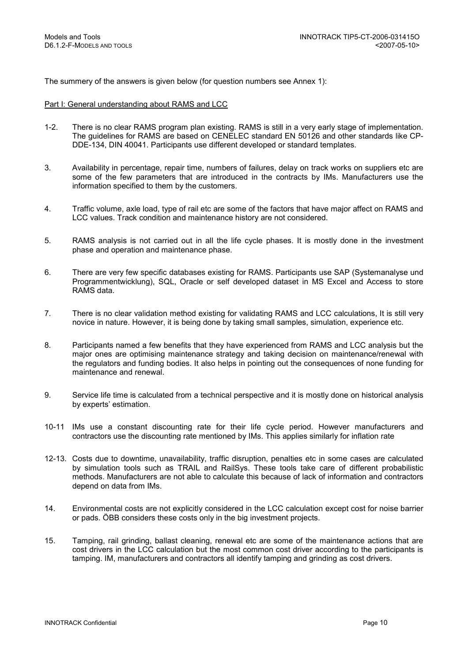The summery of the answers is given below (for question numbers see Annex 1):

#### Part I: General understanding about RAMS and LCC

- 1-2. There is no clear RAMS program plan existing. RAMS is still in a very early stage of implementation. The guidelines for RAMS are based on CENELEC standard EN 50126 and other standards like CP-DDE-134, DIN 40041. Participants use different developed or standard templates.
- 3. Availability in percentage, repair time, numbers of failures, delay on track works on suppliers etc are some of the few parameters that are introduced in the contracts by IMs. Manufacturers use the information specified to them by the customers.
- 4. Traffic volume, axle load, type of rail etc are some of the factors that have major affect on RAMS and LCC values. Track condition and maintenance history are not considered.
- 5. RAMS analysis is not carried out in all the life cycle phases. It is mostly done in the investment phase and operation and maintenance phase.
- 6. There are very few specific databases existing for RAMS. Participants use SAP (Systemanalyse und Programmentwicklung), SQL, Oracle or self developed dataset in MS Excel and Access to store RAMS data.
- 7. There is no clear validation method existing for validating RAMS and LCC calculations, It is still very novice in nature. However, it is being done by taking small samples, simulation, experience etc.
- 8. Participants named a few benefits that they have experienced from RAMS and LCC analysis but the major ones are optimising maintenance strategy and taking decision on maintenance/renewal with the regulators and funding bodies. It also helps in pointing out the consequences of none funding for maintenance and renewal.
- 9. Service life time is calculated from a technical perspective and it is mostly done on historical analysis by experts' estimation.
- 10-11 IMs use a constant discounting rate for their life cycle period. However manufacturers and contractors use the discounting rate mentioned by IMs. This applies similarly for inflation rate
- 12-13. Costs due to downtime, unavailability, traffic disruption, penalties etc in some cases are calculated by simulation tools such as TRAIL and RailSys. These tools take care of different probabilistic methods. Manufacturers are not able to calculate this because of lack of information and contractors depend on data from IMs.
- 14. Environmental costs are not explicitly considered in the LCC calculation except cost for noise barrier or pads. ÖBB considers these costs only in the big investment projects.
- 15. Tamping, rail grinding, ballast cleaning, renewal etc are some of the maintenance actions that are cost drivers in the LCC calculation but the most common cost driver according to the participants is tamping. IM, manufacturers and contractors all identify tamping and grinding as cost drivers.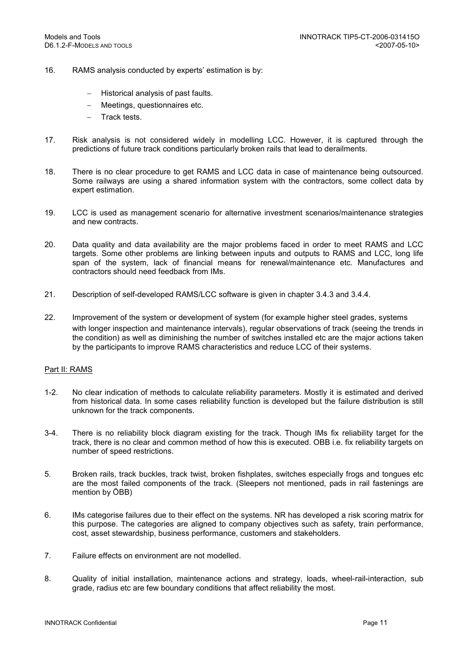- 16. RAMS analysis conducted by experts' estimation is by:
	- − Historical analysis of past faults.
	- − Meetings, questionnaires etc.
	- − Track tests.
- 17. Risk analysis is not considered widely in modelling LCC. However, it is captured through the predictions of future track conditions particularly broken rails that lead to derailments.
- 18. There is no clear procedure to get RAMS and LCC data in case of maintenance being outsourced. Some railways are using a shared information system with the contractors, some collect data by expert estimation.
- 19. LCC is used as management scenario for alternative investment scenarios/maintenance strategies and new contracts.
- 20. Data quality and data availability are the major problems faced in order to meet RAMS and LCC targets. Some other problems are linking between inputs and outputs to RAMS and LCC, long life span of the system, lack of financial means for renewal/maintenance etc. Manufactures and contractors should need feedback from IMs.
- 21. Description of self-developed RAMS/LCC software is given in chapter 3.4.3 and 3.4.4.
- 22. Improvement of the system or development of system (for example higher steel grades, systems with longer inspection and maintenance intervals), regular observations of track (seeing the trends in the condition) as well as diminishing the number of switches installed etc are the major actions taken by the participants to improve RAMS characteristics and reduce LCC of their systems.

#### Part II: RAMS

- 1-2. No clear indication of methods to calculate reliability parameters. Mostly it is estimated and derived from historical data. In some cases reliability function is developed but the failure distribution is still unknown for the track components.
- 3-4. There is no reliability block diagram existing for the track. Though IMs fix reliability target for the track, there is no clear and common method of how this is executed. OBB i.e. fix reliability targets on number of speed restrictions.
- 5. Broken rails, track buckles, track twist, broken fishplates, switches especially frogs and tongues etc are the most failed components of the track. (Sleepers not mentioned, pads in rail fastenings are mention by ÖBB)
- 6. IMs categorise failures due to their effect on the systems. NR has developed a risk scoring matrix for this purpose. The categories are aligned to company objectives such as safety, train performance, cost, asset stewardship, business performance, customers and stakeholders.
- 7. Failure effects on environment are not modelled.
- 8. Quality of initial installation, maintenance actions and strategy, loads, wheel-rail-interaction, sub grade, radius etc are few boundary conditions that affect reliability the most.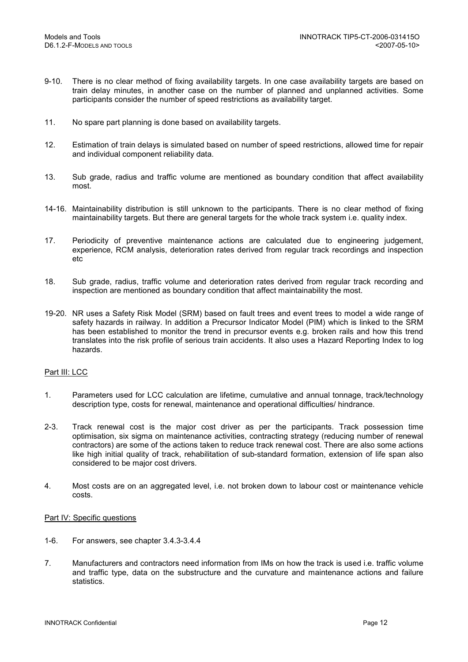- 9-10. There is no clear method of fixing availability targets. In one case availability targets are based on train delay minutes, in another case on the number of planned and unplanned activities. Some participants consider the number of speed restrictions as availability target.
- 11. No spare part planning is done based on availability targets.
- 12. Estimation of train delays is simulated based on number of speed restrictions, allowed time for repair and individual component reliability data.
- 13. Sub grade, radius and traffic volume are mentioned as boundary condition that affect availability most.
- 14-16. Maintainability distribution is still unknown to the participants. There is no clear method of fixing maintainability targets. But there are general targets for the whole track system i.e. quality index.
- 17. Periodicity of preventive maintenance actions are calculated due to engineering judgement, experience, RCM analysis, deterioration rates derived from regular track recordings and inspection etc
- 18. Sub grade, radius, traffic volume and deterioration rates derived from regular track recording and inspection are mentioned as boundary condition that affect maintainability the most.
- 19-20. NR uses a Safety Risk Model (SRM) based on fault trees and event trees to model a wide range of safety hazards in railway. In addition a Precursor Indicator Model (PIM) which is linked to the SRM has been established to monitor the trend in precursor events e.g. broken rails and how this trend translates into the risk profile of serious train accidents. It also uses a Hazard Reporting Index to log hazards.

#### Part III: LCC

- 1. Parameters used for LCC calculation are lifetime, cumulative and annual tonnage, track/technology description type, costs for renewal, maintenance and operational difficulties/ hindrance.
- 2-3. Track renewal cost is the major cost driver as per the participants. Track possession time optimisation, six sigma on maintenance activities, contracting strategy (reducing number of renewal contractors) are some of the actions taken to reduce track renewal cost. There are also some actions like high initial quality of track, rehabilitation of sub-standard formation, extension of life span also considered to be major cost drivers.
- 4. Most costs are on an aggregated level, i.e. not broken down to labour cost or maintenance vehicle costs.

#### Part IV: Specific questions

- 1-6. For answers, see chapter 3.4.3-3.4.4
- 7. Manufacturers and contractors need information from IMs on how the track is used i.e. traffic volume and traffic type, data on the substructure and the curvature and maintenance actions and failure statistics.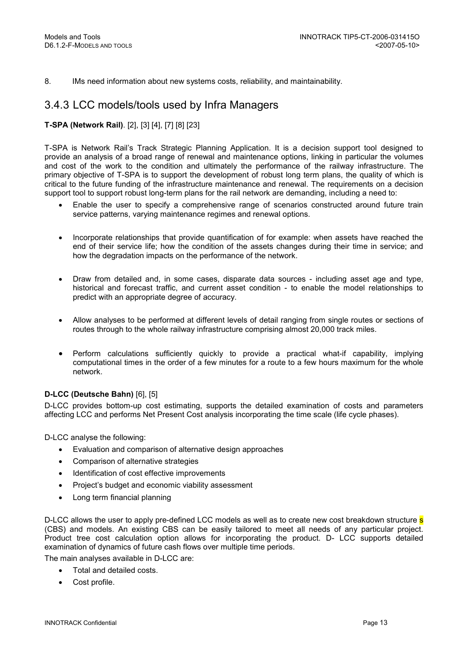8. IMs need information about new systems costs, reliability, and maintainability.

## 3.4.3 LCC models/tools used by Infra Managers

#### T-SPA (Network Rail). [2], [3] [4], [7] [8] [23]

T-SPA is Network Rail's Track Strategic Planning Application. It is a decision support tool designed to provide an analysis of a broad range of renewal and maintenance options, linking in particular the volumes and cost of the work to the condition and ultimately the performance of the railway infrastructure. The primary objective of T-SPA is to support the development of robust long term plans, the quality of which is critical to the future funding of the infrastructure maintenance and renewal. The requirements on a decision support tool to support robust long-term plans for the rail network are demanding, including a need to:

- Enable the user to specify a comprehensive range of scenarios constructed around future train service patterns, varying maintenance regimes and renewal options.
- Incorporate relationships that provide quantification of for example: when assets have reached the end of their service life; how the condition of the assets changes during their time in service; and how the degradation impacts on the performance of the network.
- Draw from detailed and, in some cases, disparate data sources including asset age and type, historical and forecast traffic, and current asset condition - to enable the model relationships to predict with an appropriate degree of accuracy.
- Allow analyses to be performed at different levels of detail ranging from single routes or sections of routes through to the whole railway infrastructure comprising almost 20,000 track miles.
- Perform calculations sufficiently quickly to provide a practical what-if capability, implying computational times in the order of a few minutes for a route to a few hours maximum for the whole network.

#### D-LCC (Deutsche Bahn) [6], [5]

D-LCC provides bottom-up cost estimating, supports the detailed examination of costs and parameters affecting LCC and performs Net Present Cost analysis incorporating the time scale (life cycle phases).

D-LCC analyse the following:

- Evaluation and comparison of alternative design approaches
- Comparison of alternative strategies
- Identification of cost effective improvements
- Project's budget and economic viability assessment
- Long term financial planning

D-LCC allows the user to apply pre-defined LCC models as well as to create new cost breakdown structure s (CBS) and models. An existing CBS can be easily tailored to meet all needs of any particular project. Product tree cost calculation option allows for incorporating the product. D- LCC supports detailed examination of dynamics of future cash flows over multiple time periods.

The main analyses available in D-LCC are:

- Total and detailed costs.
- Cost profile.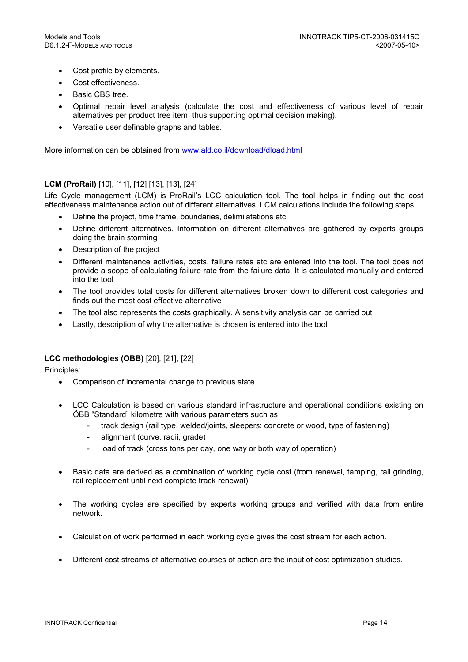- Cost profile by elements.
- Cost effectiveness.
- Basic CBS tree.
- Optimal repair level analysis (calculate the cost and effectiveness of various level of repair alternatives per product tree item, thus supporting optimal decision making).
- Versatile user definable graphs and tables.

More information can be obtained from www.ald.co.il/download/dload.html

#### LCM (ProRail) [10], [11], [12] [13], [13], [24]

Life Cycle management (LCM) is ProRail's LCC calculation tool. The tool helps in finding out the cost effectiveness maintenance action out of different alternatives. LCM calculations include the following steps:

- Define the project, time frame, boundaries, delimilatations etc
- Define different alternatives. Information on different alternatives are gathered by experts groups doing the brain storming
- Description of the project
- Different maintenance activities, costs, failure rates etc are entered into the tool. The tool does not provide a scope of calculating failure rate from the failure data. It is calculated manually and entered into the tool
- The tool provides total costs for different alternatives broken down to different cost categories and finds out the most cost effective alternative
- The tool also represents the costs graphically. A sensitivity analysis can be carried out
- Lastly, description of why the alternative is chosen is entered into the tool

#### LCC methodologies (OBB) [20], [21], [22]

Principles:

- Comparison of incremental change to previous state
- LCC Calculation is based on various standard infrastructure and operational conditions existing on ÖBB "Standard" kilometre with various parameters such as
	- track design (rail type, welded/joints, sleepers: concrete or wood, type of fastening)
	- alignment (curve, radii, grade)
	- load of track (cross tons per day, one way or both way of operation)
- Basic data are derived as a combination of working cycle cost (from renewal, tamping, rail grinding, rail replacement until next complete track renewal)
- The working cycles are specified by experts working groups and verified with data from entire network.
- Calculation of work performed in each working cycle gives the cost stream for each action.
- Different cost streams of alternative courses of action are the input of cost optimization studies.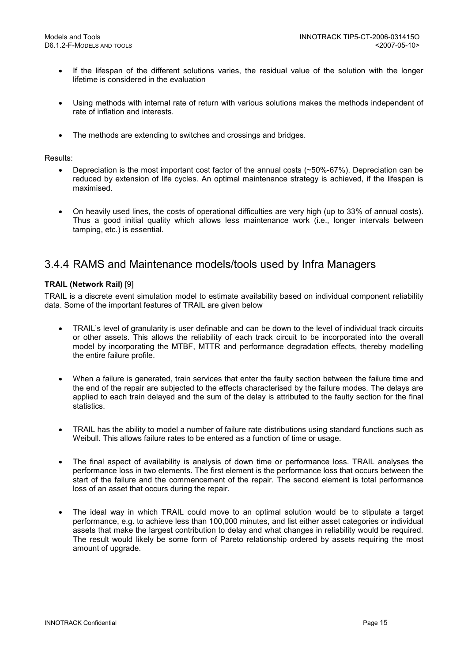- If the lifespan of the different solutions varies, the residual value of the solution with the longer lifetime is considered in the evaluation
- Using methods with internal rate of return with various solutions makes the methods independent of rate of inflation and interests.
- The methods are extending to switches and crossings and bridges.

#### Results:

- Depreciation is the most important cost factor of the annual costs (~50%-67%). Depreciation can be reduced by extension of life cycles. An optimal maintenance strategy is achieved, if the lifespan is maximised.
- On heavily used lines, the costs of operational difficulties are very high (up to 33% of annual costs). Thus a good initial quality which allows less maintenance work (i.e., longer intervals between tamping, etc.) is essential.

## 3.4.4 RAMS and Maintenance models/tools used by Infra Managers

#### TRAIL (Network Rail) [9]

TRAIL is a discrete event simulation model to estimate availability based on individual component reliability data. Some of the important features of TRAIL are given below

- TRAIL's level of granularity is user definable and can be down to the level of individual track circuits or other assets. This allows the reliability of each track circuit to be incorporated into the overall model by incorporating the MTBF, MTTR and performance degradation effects, thereby modelling the entire failure profile.
- When a failure is generated, train services that enter the faulty section between the failure time and the end of the repair are subjected to the effects characterised by the failure modes. The delays are applied to each train delayed and the sum of the delay is attributed to the faulty section for the final statistics.
- TRAIL has the ability to model a number of failure rate distributions using standard functions such as Weibull. This allows failure rates to be entered as a function of time or usage.
- The final aspect of availability is analysis of down time or performance loss. TRAIL analyses the performance loss in two elements. The first element is the performance loss that occurs between the start of the failure and the commencement of the repair. The second element is total performance loss of an asset that occurs during the repair.
- The ideal way in which TRAIL could move to an optimal solution would be to stipulate a target performance, e.g. to achieve less than 100,000 minutes, and list either asset categories or individual assets that make the largest contribution to delay and what changes in reliability would be required. The result would likely be some form of Pareto relationship ordered by assets requiring the most amount of upgrade.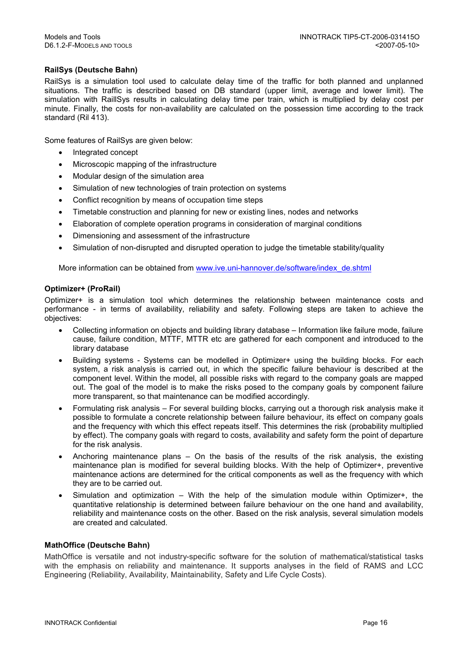#### RailSys (Deutsche Bahn)

RailSys is a simulation tool used to calculate delay time of the traffic for both planned and unplanned situations. The traffic is described based on DB standard (upper limit, average and lower limit). The simulation with RaillSys results in calculating delay time per train, which is multiplied by delay cost per minute. Finally, the costs for non-availability are calculated on the possession time according to the track standard (Ril 413).

Some features of RailSys are given below:

- Integrated concept
- Microscopic mapping of the infrastructure
- Modular design of the simulation area
- Simulation of new technologies of train protection on systems
- Conflict recognition by means of occupation time steps
- Timetable construction and planning for new or existing lines, nodes and networks
- Elaboration of complete operation programs in consideration of marginal conditions
- Dimensioning and assessment of the infrastructure
- Simulation of non-disrupted and disrupted operation to judge the timetable stability/quality

More information can be obtained from www.ive.uni-hannover.de/software/index\_de.shtml

#### Optimizer+ (ProRail)

Optimizer+ is a simulation tool which determines the relationship between maintenance costs and performance - in terms of availability, reliability and safety. Following steps are taken to achieve the objectives:

- Collecting information on objects and building library database Information like failure mode, failure cause, failure condition, MTTF, MTTR etc are gathered for each component and introduced to the library database
- Building systems Systems can be modelled in Optimizer+ using the building blocks. For each system, a risk analysis is carried out, in which the specific failure behaviour is described at the component level. Within the model, all possible risks with regard to the company goals are mapped out. The goal of the model is to make the risks posed to the company goals by component failure more transparent, so that maintenance can be modified accordingly.
- Formulating risk analysis For several building blocks, carrying out a thorough risk analysis make it possible to formulate a concrete relationship between failure behaviour, its effect on company goals and the frequency with which this effect repeats itself. This determines the risk (probability multiplied by effect). The company goals with regard to costs, availability and safety form the point of departure for the risk analysis.
- Anchoring maintenance plans On the basis of the results of the risk analysis, the existing maintenance plan is modified for several building blocks. With the help of Optimizer+, preventive maintenance actions are determined for the critical components as well as the frequency with which they are to be carried out.
- Simulation and optimization With the help of the simulation module within Optimizer+, the quantitative relationship is determined between failure behaviour on the one hand and availability, reliability and maintenance costs on the other. Based on the risk analysis, several simulation models are created and calculated.

#### MathOffice (Deutsche Bahn)

MathOffice is versatile and not industry-specific software for the solution of mathematical/statistical tasks with the emphasis on reliability and maintenance. It supports analyses in the field of RAMS and LCC Engineering (Reliability, Availability, Maintainability, Safety and Life Cycle Costs).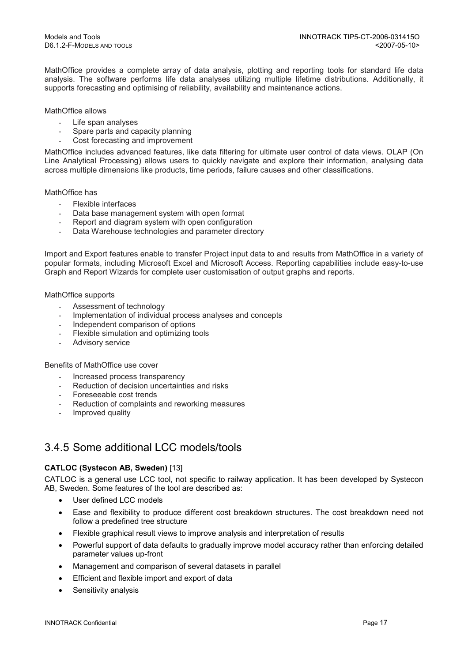MathOffice provides a complete array of data analysis, plotting and reporting tools for standard life data analysis. The software performs life data analyses utilizing multiple lifetime distributions. Additionally, it supports forecasting and optimising of reliability, availability and maintenance actions.

#### MathOffice allows

- Life span analyses
- Spare parts and capacity planning
- Cost forecasting and improvement

MathOffice includes advanced features, like data filtering for ultimate user control of data views. OLAP (On Line Analytical Processing) allows users to quickly navigate and explore their information, analysing data across multiple dimensions like products, time periods, failure causes and other classifications.

#### MathOffice has

- Flexible interfaces
- Data base management system with open format
- Report and diagram system with open configuration
- Data Warehouse technologies and parameter directory

Import and Export features enable to transfer Project input data to and results from MathOffice in a variety of popular formats, including Microsoft Excel and Microsoft Access. Reporting capabilities include easy-to-use Graph and Report Wizards for complete user customisation of output graphs and reports.

#### MathOffice supports

- Assessment of technology
- Implementation of individual process analyses and concepts
- Independent comparison of options
- Flexible simulation and optimizing tools
- Advisory service

#### Benefits of MathOffice use cover

- Increased process transparency
- Reduction of decision uncertainties and risks
- Foreseeable cost trends
- Reduction of complaints and reworking measures
- Improved quality

## 3.4.5 Some additional LCC models/tools

#### CATLOC (Systecon AB, Sweden) [13]

CATLOC is a general use LCC tool, not specific to railway application. It has been developed by Systecon AB, Sweden. Some features of the tool are described as:

- User defined LCC models
- Ease and flexibility to produce different cost breakdown structures. The cost breakdown need not follow a predefined tree structure
- Flexible graphical result views to improve analysis and interpretation of results
- Powerful support of data defaults to gradually improve model accuracy rather than enforcing detailed parameter values up-front
- Management and comparison of several datasets in parallel
- Efficient and flexible import and export of data
- Sensitivity analysis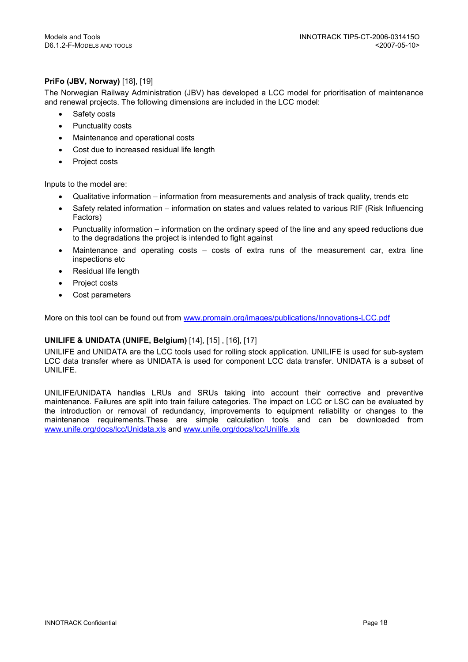#### PriFo (JBV, Norway) [18], [19]

The Norwegian Railway Administration (JBV) has developed a LCC model for prioritisation of maintenance and renewal projects. The following dimensions are included in the LCC model:

- Safety costs
- Punctuality costs
- Maintenance and operational costs
- Cost due to increased residual life length
- Project costs

Inputs to the model are:

- Qualitative information information from measurements and analysis of track quality, trends etc
- Safety related information information on states and values related to various RIF (Risk Influencing Factors)
- Punctuality information information on the ordinary speed of the line and any speed reductions due to the degradations the project is intended to fight against
- Maintenance and operating costs costs of extra runs of the measurement car, extra line inspections etc
- Residual life length
- Project costs
- Cost parameters

More on this tool can be found out from www.promain.org/images/publications/Innovations-LCC.pdf

#### UNILIFE & UNIDATA (UNIFE, Belgium) [14], [15] , [16], [17]

UNILIFE and UNIDATA are the LCC tools used for rolling stock application. UNILIFE is used for sub-system LCC data transfer where as UNIDATA is used for component LCC data transfer. UNIDATA is a subset of UNILIFE.

UNILIFE/UNIDATA handles LRUs and SRUs taking into account their corrective and preventive maintenance. Failures are split into train failure categories. The impact on LCC or LSC can be evaluated by the introduction or removal of redundancy, improvements to equipment reliability or changes to the maintenance requirements.These are simple calculation tools and can be downloaded from www.unife.org/docs/lcc/Unidata.xls and www.unife.org/docs/lcc/Unilife.xls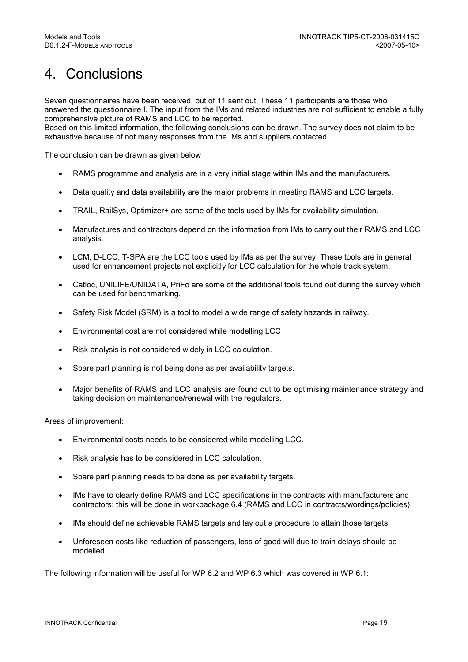# 4. Conclusions

Seven questionnaires have been received, out of 11 sent out. These 11 participants are those who answered the questionnaire I. The input from the IMs and related industries are not sufficient to enable a fully comprehensive picture of RAMS and LCC to be reported.

Based on this limited information, the following conclusions can be drawn. The survey does not claim to be exhaustive because of not many responses from the IMs and suppliers contacted.

The conclusion can be drawn as given below

- RAMS programme and analysis are in a very initial stage within IMs and the manufacturers.
- Data quality and data availability are the major problems in meeting RAMS and LCC targets.
- TRAIL, RailSys, Optimizer+ are some of the tools used by IMs for availability simulation.
- Manufactures and contractors depend on the information from IMs to carry out their RAMS and LCC analysis.
- LCM, D-LCC, T-SPA are the LCC tools used by IMs as per the survey. These tools are in general used for enhancement projects not explicitly for LCC calculation for the whole track system.
- Catloc, UNILIFE/UNIDATA, PriFo are some of the additional tools found out during the survey which can be used for benchmarking.
- Safety Risk Model (SRM) is a tool to model a wide range of safety hazards in railway.
- Environmental cost are not considered while modelling LCC
- Risk analysis is not considered widely in LCC calculation.
- Spare part planning is not being done as per availability targets.
- Major benefits of RAMS and LCC analysis are found out to be optimising maintenance strategy and taking decision on maintenance/renewal with the regulators.

#### Areas of improvement:

- Environmental costs needs to be considered while modelling LCC.
- Risk analysis has to be considered in LCC calculation.
- Spare part planning needs to be done as per availability targets.
- IMs have to clearly define RAMS and LCC specifications in the contracts with manufacturers and contractors; this will be done in workpackage 6.4 (RAMS and LCC in contracts/wordings/policies).
- IMs should define achievable RAMS targets and lay out a procedure to attain those targets.
- Unforeseen costs like reduction of passengers, loss of good will due to train delays should be modelled.

The following information will be useful for WP 6.2 and WP 6.3 which was covered in WP 6.1: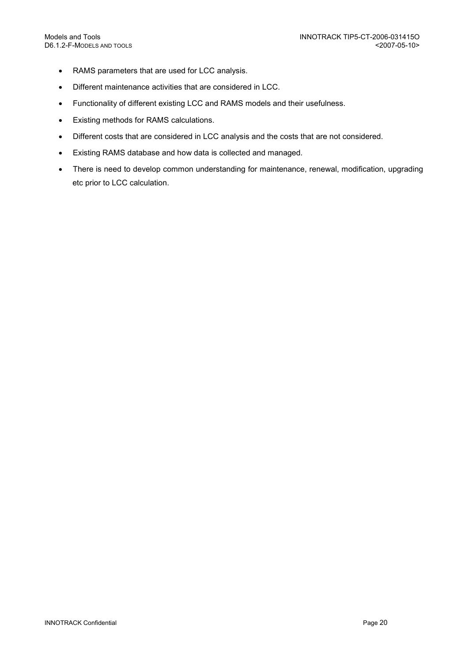- RAMS parameters that are used for LCC analysis.
- Different maintenance activities that are considered in LCC.
- Functionality of different existing LCC and RAMS models and their usefulness.
- Existing methods for RAMS calculations.
- Different costs that are considered in LCC analysis and the costs that are not considered.
- Existing RAMS database and how data is collected and managed.
- There is need to develop common understanding for maintenance, renewal, modification, upgrading etc prior to LCC calculation.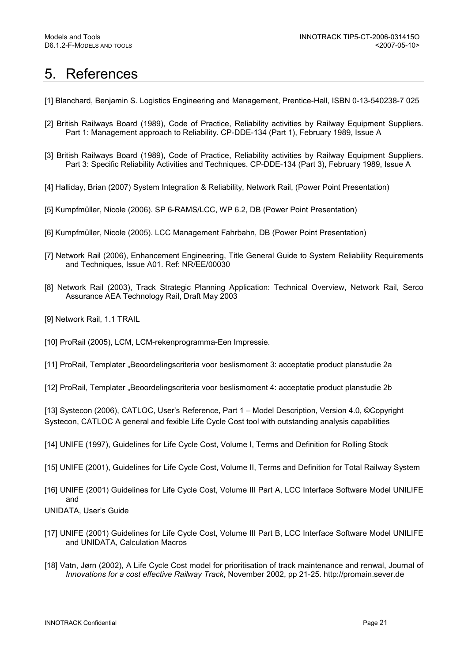# 5. References

- [1] Blanchard, Benjamin S. Logistics Engineering and Management, Prentice-Hall, ISBN 0-13-540238-7 025
- [2] British Railways Board (1989), Code of Practice, Reliability activities by Railway Equipment Suppliers. Part 1: Management approach to Reliability. CP-DDE-134 (Part 1), February 1989, Issue A
- [3] British Railways Board (1989), Code of Practice, Reliability activities by Railway Equipment Suppliers. Part 3: Specific Reliability Activities and Techniques. CP-DDE-134 (Part 3), February 1989, Issue A
- [4] Halliday, Brian (2007) System Integration & Reliability, Network Rail, (Power Point Presentation)
- [5] Kumpfmüller, Nicole (2006). SP 6-RAMS/LCC, WP 6.2, DB (Power Point Presentation)
- [6] Kumpfmüller, Nicole (2005). LCC Management Fahrbahn, DB (Power Point Presentation)
- [7] Network Rail (2006), Enhancement Engineering, Title General Guide to System Reliability Requirements and Techniques, Issue A01. Ref: NR/EE/00030
- [8] Network Rail (2003), Track Strategic Planning Application: Technical Overview, Network Rail, Serco Assurance AEA Technology Rail, Draft May 2003
- [9] Network Rail, 1.1 TRAIL
- [10] ProRail (2005), LCM, LCM-rekenprogramma-Een Impressie.
- [11] ProRail, Templater "Beoordelingscriteria voor beslismoment 3: acceptatie product planstudie 2a
- [12] ProRail, Templater "Beoordelingscriteria voor beslismoment 4: acceptatie product planstudie 2b

[13] Systecon (2006), CATLOC, User's Reference, Part 1 – Model Description, Version 4.0, ©Copyright Systecon, CATLOC A general and fexible Life Cycle Cost tool with outstanding analysis capabilities

- [14] UNIFE (1997), Guidelines for Life Cycle Cost, Volume I, Terms and Definition for Rolling Stock
- [15] UNIFE (2001), Guidelines for Life Cycle Cost, Volume II, Terms and Definition for Total Railway System
- [16] UNIFE (2001) Guidelines for Life Cycle Cost, Volume III Part A, LCC Interface Software Model UNILIFE and

UNIDATA, User's Guide

- [17] UNIFE (2001) Guidelines for Life Cycle Cost, Volume III Part B, LCC Interface Software Model UNILIFE and UNIDATA, Calculation Macros
- [18] Vatn, Jørn (2002), A Life Cycle Cost model for prioritisation of track maintenance and renwal, Journal of Innovations for a cost effective Railway Track, November 2002, pp 21-25. http://promain.sever.de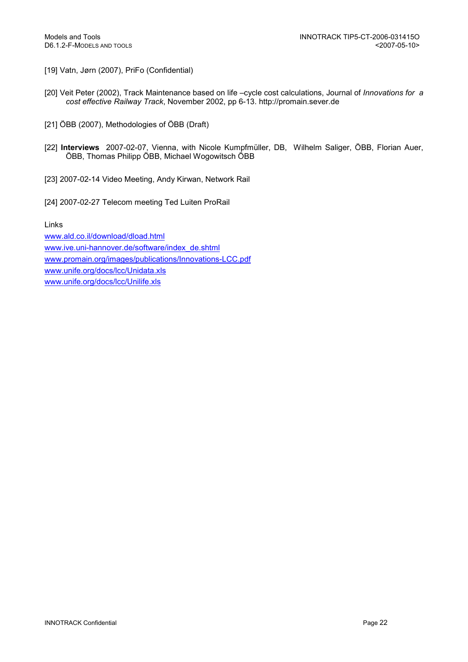- [19] Vatn, Jørn (2007), PriFo (Confidential)
- [20] Veit Peter (2002), Track Maintenance based on life –cycle cost calculations, Journal of Innovations for a cost effective Railway Track, November 2002, pp 6-13. http://promain.sever.de
- [21] ÖBB (2007), Methodologies of ÖBB (Draft)
- [22] Interviews 2007-02-07, Vienna, with Nicole Kumpfmüller, DB, Wilhelm Saliger, ÖBB, Florian Auer, ÖBB, Thomas Philipp ÖBB, Michael Wogowitsch ÖBB
- [23] 2007-02-14 Video Meeting, Andy Kirwan, Network Rail
- [24] 2007-02-27 Telecom meeting Ted Luiten ProRail

Links

www.ald.co.il/download/dload.html www.ive.uni-hannover.de/software/index\_de.shtml www.promain.org/images/publications/Innovations-LCC.pdf www.unife.org/docs/lcc/Unidata.xls www.unife.org/docs/lcc/Unilife.xls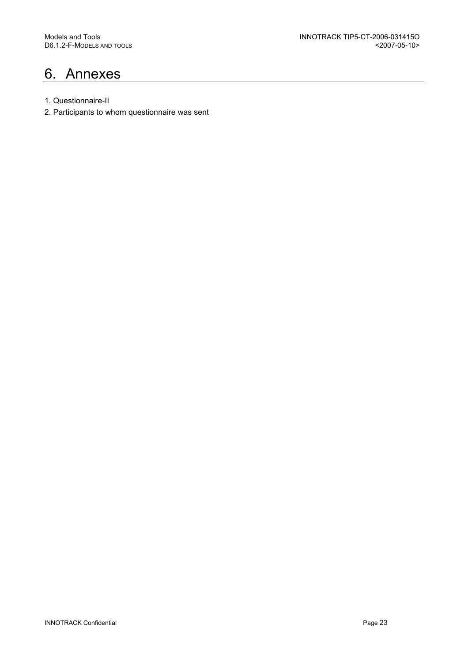# 6. Annexes

- 1. Questionnaire-II
- 2. Participants to whom questionnaire was sent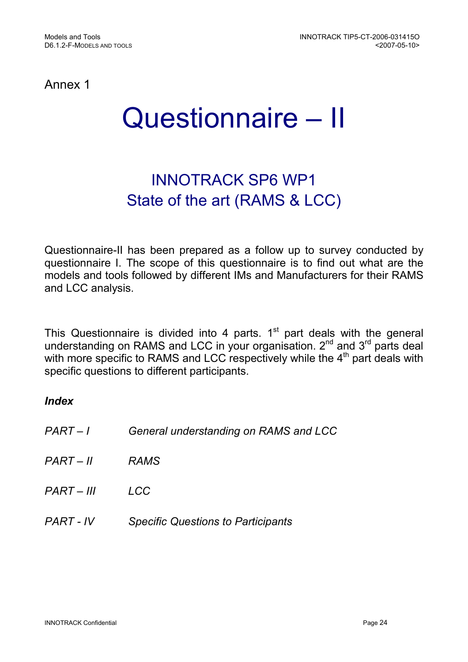Annex 1

# Questionnaire – II

# INNOTRACK SP6 WP1 State of the art (RAMS & LCC)

Questionnaire-II has been prepared as a follow up to survey conducted by questionnaire I. The scope of this questionnaire is to find out what are the models and tools followed by different IMs and Manufacturers for their RAMS and LCC analysis.

This Questionnaire is divided into 4 parts.  $1<sup>st</sup>$  part deals with the general understanding on RAMS and LCC in your organisation.  $2<sup>nd</sup>$  and  $3<sup>rd</sup>$  parts deal with more specific to RAMS and LCC respectively while the 4<sup>th</sup> part deals with specific questions to different participants.

## Index

| PART-1      | General understanding on RAMS and LCC     |
|-------------|-------------------------------------------|
| $PART - II$ | <b>RAMS</b>                               |
| PART – III  | LCC                                       |
| PART - IV   | <b>Specific Questions to Participants</b> |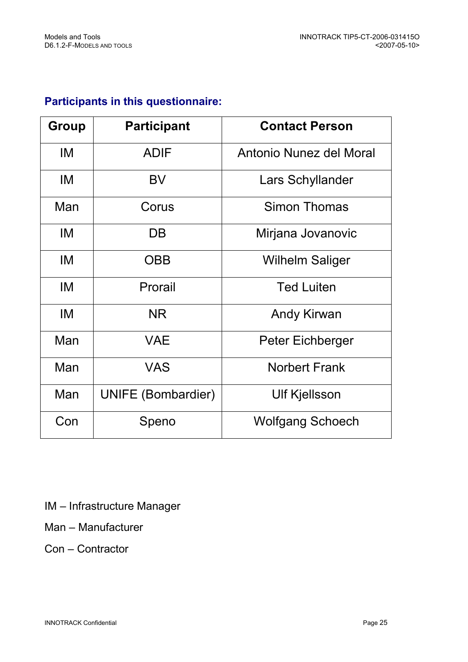# Participants in this questionnaire:

| Group | <b>Participant</b>        | <b>Contact Person</b>   |
|-------|---------------------------|-------------------------|
| IM    | <b>ADIF</b>               | Antonio Nunez del Moral |
| IM    | <b>BV</b>                 | Lars Schyllander        |
| Man   | Corus                     | Simon Thomas            |
| IM    | DB                        | Mirjana Jovanovic       |
| IM    | <b>OBB</b>                | <b>Wilhelm Saliger</b>  |
| IM    | Prorail                   | <b>Ted Luiten</b>       |
| IM    | <b>NR</b>                 | <b>Andy Kirwan</b>      |
| Man   | <b>VAE</b>                | Peter Eichberger        |
| Man   | <b>VAS</b>                | <b>Norbert Frank</b>    |
| Man   | <b>UNIFE (Bombardier)</b> | <b>Ulf Kjellsson</b>    |
| Con   | Speno                     | <b>Wolfgang Schoech</b> |

IM – Infrastructure Manager

Man – Manufacturer

Con – Contractor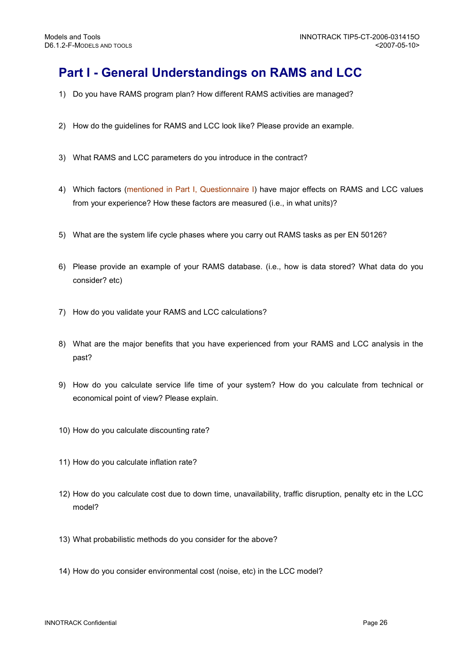# Part I - General Understandings on RAMS and LCC

- 1) Do you have RAMS program plan? How different RAMS activities are managed?
- 2) How do the guidelines for RAMS and LCC look like? Please provide an example.
- 3) What RAMS and LCC parameters do you introduce in the contract?
- 4) Which factors (mentioned in Part I, Questionnaire I) have major effects on RAMS and LCC values from your experience? How these factors are measured (i.e., in what units)?
- 5) What are the system life cycle phases where you carry out RAMS tasks as per EN 50126?
- 6) Please provide an example of your RAMS database. (i.e., how is data stored? What data do you consider? etc)
- 7) How do you validate your RAMS and LCC calculations?
- 8) What are the major benefits that you have experienced from your RAMS and LCC analysis in the past?
- 9) How do you calculate service life time of your system? How do you calculate from technical or economical point of view? Please explain.
- 10) How do you calculate discounting rate?
- 11) How do you calculate inflation rate?
- 12) How do you calculate cost due to down time, unavailability, traffic disruption, penalty etc in the LCC model?
- 13) What probabilistic methods do you consider for the above?
- 14) How do you consider environmental cost (noise, etc) in the LCC model?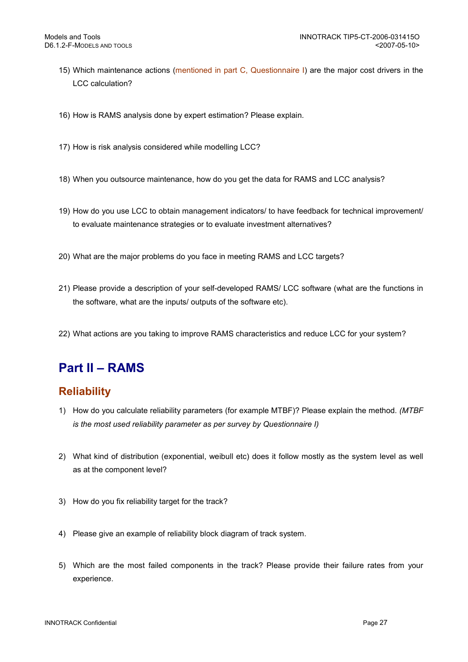- 15) Which maintenance actions (mentioned in part C, Questionnaire I) are the major cost drivers in the LCC calculation?
- 16) How is RAMS analysis done by expert estimation? Please explain.
- 17) How is risk analysis considered while modelling LCC?
- 18) When you outsource maintenance, how do you get the data for RAMS and LCC analysis?
- 19) How do you use LCC to obtain management indicators/ to have feedback for technical improvement/ to evaluate maintenance strategies or to evaluate investment alternatives?
- 20) What are the major problems do you face in meeting RAMS and LCC targets?
- 21) Please provide a description of your self-developed RAMS/ LCC software (what are the functions in the software, what are the inputs/ outputs of the software etc).
- 22) What actions are you taking to improve RAMS characteristics and reduce LCC for your system?

# Part II – RAMS

## **Reliability**

- 1) How do you calculate reliability parameters (for example MTBF)? Please explain the method. (MTBF is the most used reliability parameter as per survey by Questionnaire I)
- 2) What kind of distribution (exponential, weibull etc) does it follow mostly as the system level as well as at the component level?
- 3) How do you fix reliability target for the track?
- 4) Please give an example of reliability block diagram of track system.
- 5) Which are the most failed components in the track? Please provide their failure rates from your experience.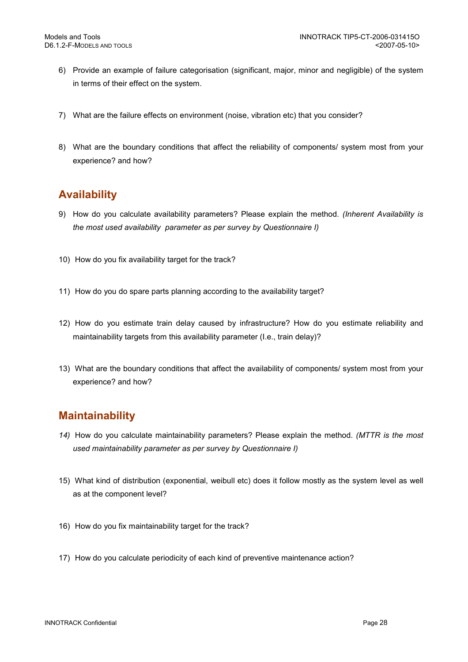- 6) Provide an example of failure categorisation (significant, major, minor and negligible) of the system in terms of their effect on the system.
- 7) What are the failure effects on environment (noise, vibration etc) that you consider?
- 8) What are the boundary conditions that affect the reliability of components/ system most from your experience? and how?

## Availability

- 9) How do you calculate availability parameters? Please explain the method. (Inherent Availability is the most used availability parameter as per survey by Questionnaire I)
- 10) How do you fix availability target for the track?
- 11) How do you do spare parts planning according to the availability target?
- 12) How do you estimate train delay caused by infrastructure? How do you estimate reliability and maintainability targets from this availability parameter (I.e., train delay)?
- 13) What are the boundary conditions that affect the availability of components/ system most from your experience? and how?

## **Maintainability**

- 14) How do you calculate maintainability parameters? Please explain the method. (MTTR is the most used maintainability parameter as per survey by Questionnaire I)
- 15) What kind of distribution (exponential, weibull etc) does it follow mostly as the system level as well as at the component level?
- 16) How do you fix maintainability target for the track?
- 17) How do you calculate periodicity of each kind of preventive maintenance action?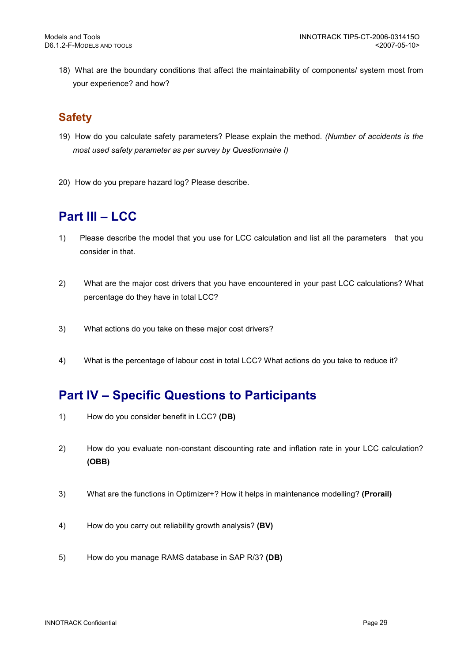18) What are the boundary conditions that affect the maintainability of components/ system most from your experience? and how?

## **Safety**

- 19) How do you calculate safety parameters? Please explain the method. (Number of accidents is the most used safety parameter as per survey by Questionnaire I)
- 20) How do you prepare hazard log? Please describe.

# Part III – LCC

- 1) Please describe the model that you use for LCC calculation and list all the parameters that you consider in that.
- 2) What are the major cost drivers that you have encountered in your past LCC calculations? What percentage do they have in total LCC?
- 3) What actions do you take on these major cost drivers?
- 4) What is the percentage of labour cost in total LCC? What actions do you take to reduce it?

# Part IV – Specific Questions to Participants

- 1) How do you consider benefit in LCC? (DB)
- 2) How do you evaluate non-constant discounting rate and inflation rate in your LCC calculation? (OBB)
- 3) What are the functions in Optimizer+? How it helps in maintenance modelling? (Prorail)
- 4) How do you carry out reliability growth analysis? (BV)
- 5) How do you manage RAMS database in SAP R/3? (DB)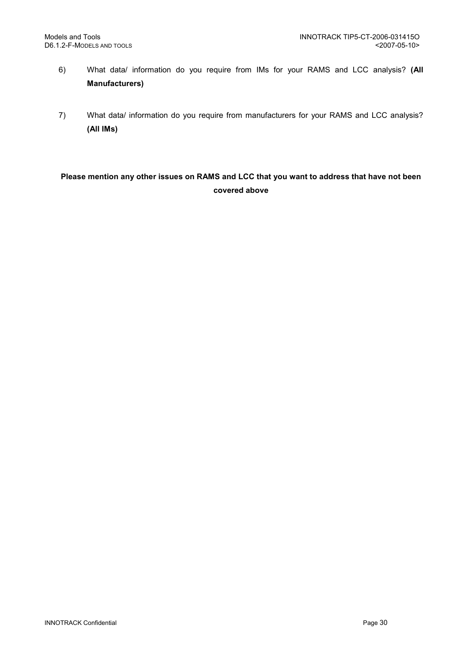- 6) What data/ information do you require from IMs for your RAMS and LCC analysis? (All Manufacturers)
- 7) What data/ information do you require from manufacturers for your RAMS and LCC analysis? (All IMs)

## Please mention any other issues on RAMS and LCC that you want to address that have not been covered above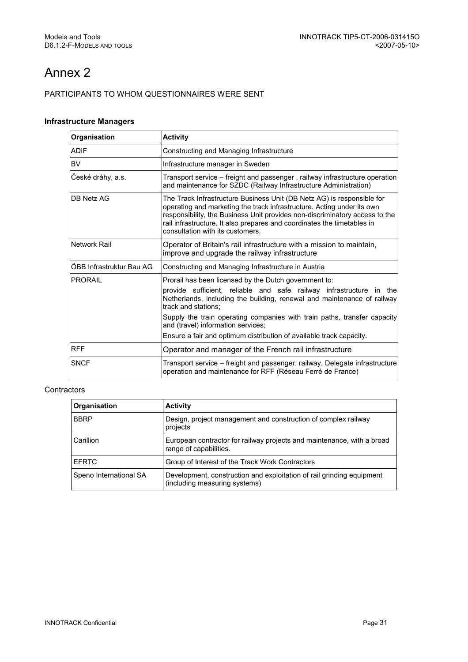# Annex 2

#### PARTICIPANTS TO WHOM QUESTIONNAIRES WERE SENT

#### Infrastructure Managers

| Organisation             | <b>Activity</b>                                                                                                                                                                                                                                                                                                                                                                                                         |
|--------------------------|-------------------------------------------------------------------------------------------------------------------------------------------------------------------------------------------------------------------------------------------------------------------------------------------------------------------------------------------------------------------------------------------------------------------------|
| <b>ADIF</b>              | Constructing and Managing Infrastructure                                                                                                                                                                                                                                                                                                                                                                                |
| <b>BV</b>                | Infrastructure manager in Sweden                                                                                                                                                                                                                                                                                                                                                                                        |
| České dráhy, a.s.        | Transport service - freight and passenger, railway infrastructure operation<br>and maintenance for SZDC (Railway Infrastructure Administration)                                                                                                                                                                                                                                                                         |
| DB Netz AG               | The Track Infrastructure Business Unit (DB Netz AG) is responsible for<br>operating and marketing the track infrastructure. Acting under its own<br>responsibility, the Business Unit provides non-discriminatory access to the<br>rail infrastructure. It also prepares and coordinates the timetables in<br>consultation with its customers.                                                                          |
| Network Rail             | Operator of Britain's rail infrastructure with a mission to maintain,<br>improve and upgrade the railway infrastructure                                                                                                                                                                                                                                                                                                 |
| ÖBB Infrastruktur Bau AG | Constructing and Managing Infrastructure in Austria                                                                                                                                                                                                                                                                                                                                                                     |
| <b>PRORAIL</b>           | Prorail has been licensed by the Dutch government to:<br>provide sufficient, reliable and safe railway infrastructure in the<br>Netherlands, including the building, renewal and maintenance of railway<br>track and stations:<br>Supply the train operating companies with train paths, transfer capacity<br>and (travel) information services;<br>Ensure a fair and optimum distribution of available track capacity. |
| <b>RFF</b>               | Operator and manager of the French rail infrastructure                                                                                                                                                                                                                                                                                                                                                                  |
| <b>SNCF</b>              | Transport service – freight and passenger, railway. Delegate infrastructure<br>operation and maintenance for RFF (Réseau Ferré de France)                                                                                                                                                                                                                                                                               |

#### **Contractors**

| Organisation           | <b>Activity</b>                                                                                        |
|------------------------|--------------------------------------------------------------------------------------------------------|
| <b>BBRP</b>            | Design, project management and construction of complex railway<br>projects                             |
| Carillion              | European contractor for railway projects and maintenance, with a broad<br>range of capabilities.       |
| I EFRTC                | Group of Interest of the Track Work Contractors                                                        |
| Speno International SA | Development, construction and exploitation of rail grinding equipment<br>(including measuring systems) |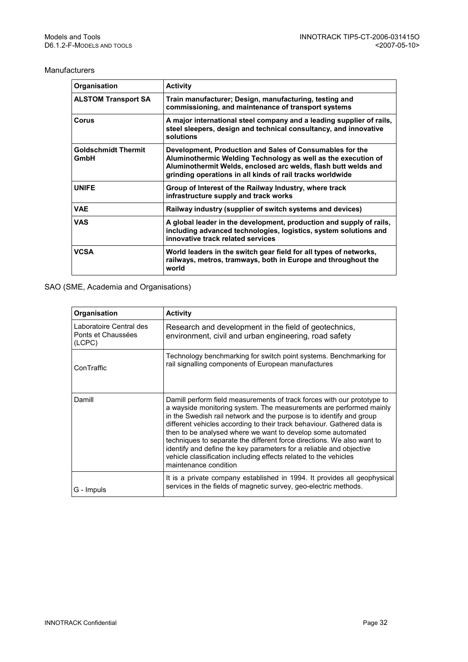#### Manufacturers

| Organisation                       | <b>Activity</b>                                                                                                                                                                                                                                          |
|------------------------------------|----------------------------------------------------------------------------------------------------------------------------------------------------------------------------------------------------------------------------------------------------------|
| <b>ALSTOM Transport SA</b>         | Train manufacturer; Design, manufacturing, testing and<br>commissioning, and maintenance of transport systems                                                                                                                                            |
| Corus                              | A major international steel company and a leading supplier of rails,<br>steel sleepers, design and technical consultancy, and innovative<br>solutions                                                                                                    |
| <b>Goldschmidt Thermit</b><br>GmbH | Development, Production and Sales of Consumables for the<br>Aluminothermic Welding Technology as well as the execution of<br>Aluminothermit Welds, enclosed arc welds, flash butt welds and<br>grinding operations in all kinds of rail tracks worldwide |
| <b>UNIFE</b>                       | Group of Interest of the Railway Industry, where track<br>infrastructure supply and track works                                                                                                                                                          |
| <b>VAE</b>                         | Railway industry (supplier of switch systems and devices)                                                                                                                                                                                                |
| <b>VAS</b>                         | A global leader in the development, production and supply of rails,<br>including advanced technologies, logistics, system solutions and<br>innovative track related services                                                                             |
| <b>VCSA</b>                        | World leaders in the switch gear field for all types of networks,<br>railways, metros, tramways, both in Europe and throughout the<br>world                                                                                                              |

#### SAO (SME, Academia and Organisations)

| Organisation                                            | <b>Activity</b>                                                                                                                                                                                                                                                                                                                                                                                                                                                                                                                                                                                               |
|---------------------------------------------------------|---------------------------------------------------------------------------------------------------------------------------------------------------------------------------------------------------------------------------------------------------------------------------------------------------------------------------------------------------------------------------------------------------------------------------------------------------------------------------------------------------------------------------------------------------------------------------------------------------------------|
| Laboratoire Central des<br>Ponts et Chaussées<br>(LCPC) | Research and development in the field of geotechnics,<br>environment, civil and urban engineering, road safety                                                                                                                                                                                                                                                                                                                                                                                                                                                                                                |
| ConTraffic                                              | Technology benchmarking for switch point systems. Benchmarking for<br>rail signalling components of European manufactures                                                                                                                                                                                                                                                                                                                                                                                                                                                                                     |
| Damill                                                  | Damill perform field measurements of track forces with our prototype to<br>a wayside monitoring system. The measurements are performed mainly<br>in the Swedish rail network and the purpose is to identify and group<br>different vehicles according to their track behaviour. Gathered data is<br>then to be analysed where we want to develop some automated<br>techniques to separate the different force directions. We also want to<br>identify and define the key parameters for a reliable and objective<br>vehicle classification including effects related to the vehicles<br>maintenance condition |
| G - Impuls                                              | It is a private company established in 1994. It provides all geophysical<br>services in the fields of magnetic survey, geo-electric methods.                                                                                                                                                                                                                                                                                                                                                                                                                                                                  |